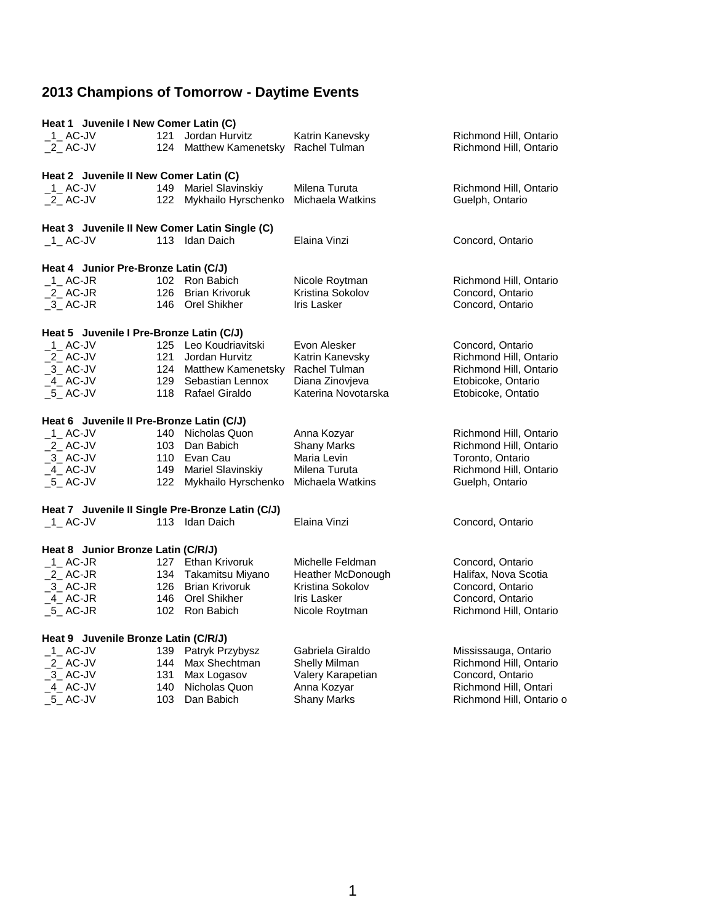|                                      | Heat 1 Juvenile I New Comer Latin (C)     |     |                                                  |                     |                        |  |
|--------------------------------------|-------------------------------------------|-----|--------------------------------------------------|---------------------|------------------------|--|
| $-1$ AC-JV                           |                                           | 121 | Jordan Hurvitz                                   | Katrin Kanevsky     | Richmond Hill, Ontario |  |
| $2$ AC-JV                            |                                           |     | 124 Matthew Kamenetsky Rachel Tulman             |                     | Richmond Hill, Ontario |  |
|                                      |                                           |     |                                                  |                     |                        |  |
|                                      | Heat 2 Juvenile II New Comer Latin (C)    |     |                                                  |                     |                        |  |
| 1_AC-JV                              |                                           |     | 149 Mariel Slavinskiy                            | Milena Turuta       | Richmond Hill, Ontario |  |
| 2 AC-JV                              |                                           |     | 122 Mykhailo Hyrschenko Michaela Watkins         |                     | Guelph, Ontario        |  |
|                                      |                                           |     |                                                  |                     |                        |  |
|                                      |                                           |     | Heat 3 Juvenile II New Comer Latin Single (C)    |                     |                        |  |
| 1 AC-JV                              |                                           |     | 113 Idan Daich                                   | Elaina Vinzi        | Concord, Ontario       |  |
|                                      |                                           |     |                                                  |                     |                        |  |
|                                      |                                           |     |                                                  |                     |                        |  |
|                                      | Heat 4 Junior Pre-Bronze Latin (C/J)      |     | 102 Ron Babich                                   |                     |                        |  |
| 1 AC-JR                              |                                           |     |                                                  | Nicole Roytman      | Richmond Hill, Ontario |  |
| $2$ AC-JR                            |                                           |     | 126 Brian Krivoruk                               | Kristina Sokolov    | Concord, Ontario       |  |
| $-3$ AC-JR                           |                                           |     | 146 Orel Shikher                                 | <b>Iris Lasker</b>  | Concord, Ontario       |  |
|                                      |                                           |     |                                                  |                     |                        |  |
|                                      | Heat 5 Juvenile I Pre-Bronze Latin (C/J)  |     |                                                  |                     |                        |  |
| 1 AC-JV                              |                                           |     | 125 Leo Koudriavitski                            | Evon Alesker        | Concord, Ontario       |  |
| $2$ AC-JV                            |                                           |     | 121 Jordan Hurvitz                               | Katrin Kanevsky     | Richmond Hill, Ontario |  |
| $-3$ AC-JV                           |                                           |     | 124 Matthew Kamenetsky Rachel Tulman             |                     | Richmond Hill, Ontario |  |
| $-4$ AC-JV                           |                                           |     | 129 Sebastian Lennox                             | Diana Zinovjeva     | Etobicoke, Ontario     |  |
| 5 AC-JV                              |                                           |     | 118 Rafael Giraldo                               | Katerina Novotarska | Etobicoke, Ontatio     |  |
|                                      |                                           |     |                                                  |                     |                        |  |
|                                      | Heat 6 Juvenile II Pre-Bronze Latin (C/J) |     |                                                  |                     |                        |  |
| $-1$ AC-JV                           |                                           |     | 140 Nicholas Quon                                | Anna Kozyar         | Richmond Hill, Ontario |  |
| $2$ AC-JV                            |                                           |     | 103 Dan Babich                                   | <b>Shany Marks</b>  | Richmond Hill, Ontario |  |
| $-3$ AC-JV                           |                                           |     | 110 Evan Cau                                     | Maria Levin         | Toronto, Ontario       |  |
| 4 AC-JV                              |                                           |     | 149 Mariel Slavinskiy                            | Milena Turuta       | Richmond Hill, Ontario |  |
| $-5$ AC-JV                           |                                           | 122 | Mykhailo Hyrschenko                              | Michaela Watkins    | Guelph, Ontario        |  |
|                                      |                                           |     |                                                  |                     |                        |  |
|                                      |                                           |     | Heat 7 Juvenile II Single Pre-Bronze Latin (C/J) |                     |                        |  |
| $-1$ AC-JV                           |                                           |     | 113 Idan Daich                                   | Elaina Vinzi        | Concord, Ontario       |  |
|                                      |                                           |     |                                                  |                     |                        |  |
|                                      | Heat 8 Junior Bronze Latin (C/R/J)        |     |                                                  |                     |                        |  |
| 1 AC-JR                              |                                           |     | 127 Ethan Krivoruk                               | Michelle Feldman    | Concord, Ontario       |  |
| $2$ AC-JR                            |                                           |     | 134 Takamitsu Miyano                             | Heather McDonough   | Halifax, Nova Scotia   |  |
| $-3$ AC-JR                           |                                           |     | 126 Brian Krivoruk                               | Kristina Sokolov    | Concord, Ontario       |  |
| 4 AC-JR                              |                                           |     | 146 Orel Shikher                                 | Iris Lasker         | Concord, Ontario       |  |
| $-5$ AC-JR                           |                                           |     | 102 Ron Babich                                   | Nicole Roytman      | Richmond Hill, Ontario |  |
|                                      |                                           |     |                                                  |                     |                        |  |
| Heat 9 Juvenile Bronze Latin (C/R/J) |                                           |     |                                                  |                     |                        |  |
| $-1$ AC-JV                           |                                           | 139 | Patryk Przybysz                                  | Gabriela Giraldo    | Mississauga, Ontario   |  |
| 2 AC-JV                              |                                           |     | 144 Max Shechtman                                | Shelly Milman       | Richmond Hill, Ontario |  |
| $-3$ AC-JV                           |                                           | 131 | Max Logasov                                      | Valery Karapetian   | Concord, Ontario       |  |
| 4 AC-JV                              |                                           | 140 | Nicholas Quon                                    | Anna Kozyar         | Richmond Hill, Ontari  |  |
|                                      |                                           |     |                                                  |                     |                        |  |

\_5\_ AC-JV 103 Dan Babich Shany Marks Richmond Hill, Ontario o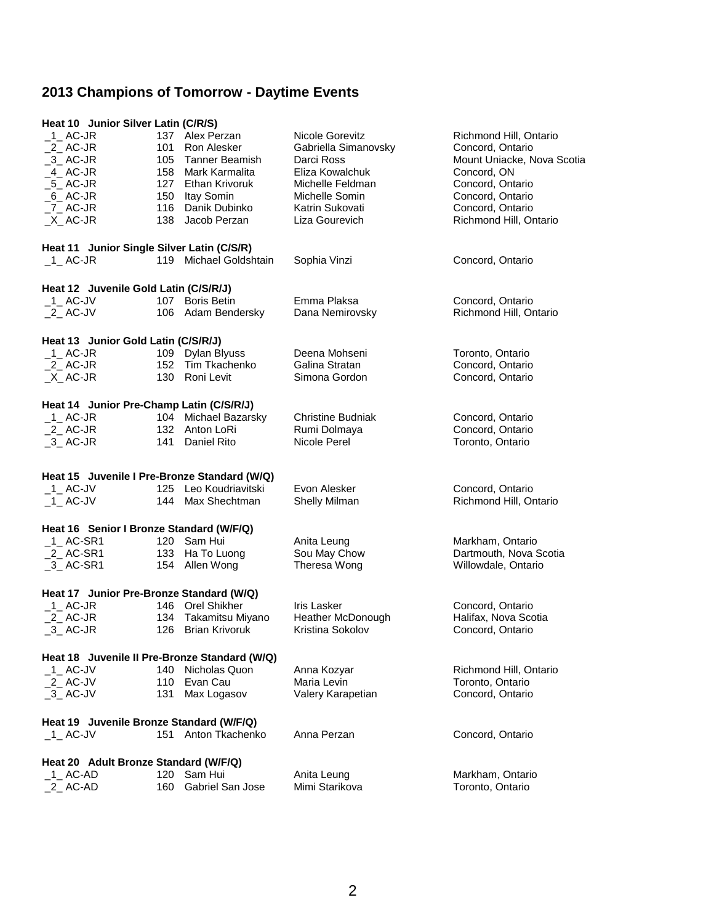| Heat 10 Junior Silver Latin (C/R/S)           |                                       |                        |                          |                            |  |  |
|-----------------------------------------------|---------------------------------------|------------------------|--------------------------|----------------------------|--|--|
| $-1$ AC-JR                                    |                                       | 137 Alex Perzan        | Nicole Gorevitz          | Richmond Hill, Ontario     |  |  |
| $_2$ AC-JR                                    | 101                                   | Ron Alesker            | Gabriella Simanovsky     | Concord, Ontario           |  |  |
| $_3$ AC-JR                                    | 105                                   | Tanner Beamish         | Darci Ross               | Mount Uniacke, Nova Scotia |  |  |
| $-4$ AC-JR                                    | 158                                   | Mark Karmalita         | Eliza Kowalchuk          | Concord, ON                |  |  |
| $-5$ AC-JR                                    | 127                                   | Ethan Krivoruk         | Michelle Feldman         | Concord, Ontario           |  |  |
| $_6$ AC-JR                                    | 150                                   | Itay Somin             | Michelle Somin           | Concord, Ontario           |  |  |
| _7_ AC-JR                                     | 116                                   | Danik Dubinko          | Katrin Sukovati          | Concord, Ontario           |  |  |
| $X$ AC-JR                                     | 138                                   | Jacob Perzan           | Liza Gourevich           | Richmond Hill, Ontario     |  |  |
|                                               |                                       |                        |                          |                            |  |  |
| Heat 11 Junior Single Silver Latin (C/S/R)    |                                       |                        |                          |                            |  |  |
| $-1$ AC-JR                                    |                                       | 119 Michael Goldshtain | Sophia Vinzi             | Concord, Ontario           |  |  |
|                                               | Heat 12 Juvenile Gold Latin (C/S/R/J) |                        |                          |                            |  |  |
| $-1$ AC-JV                                    |                                       | 107 Boris Betin        | Emma Plaksa              | Concord, Ontario           |  |  |
| $2$ AC-JV                                     |                                       | 106 Adam Bendersky     | Dana Nemirovsky          | Richmond Hill, Ontario     |  |  |
| Heat 13 Junior Gold Latin (C/S/R/J)           |                                       |                        |                          |                            |  |  |
| $_1$ AC-JR                                    |                                       | 109 Dylan Blyuss       | Deena Mohseni            | Toronto, Ontario           |  |  |
| $2$ AC-JR                                     |                                       | 152 Tim Tkachenko      | Galina Stratan           | Concord, Ontario           |  |  |
| $X$ AC-JR                                     |                                       | 130 Roni Levit         | Simona Gordon            | Concord, Ontario           |  |  |
|                                               |                                       |                        |                          |                            |  |  |
| Heat 14 Junior Pre-Champ Latin (C/S/R/J)      |                                       |                        |                          |                            |  |  |
| $1$ AC-JR                                     |                                       | 104 Michael Bazarsky   | <b>Christine Budniak</b> | Concord, Ontario           |  |  |
| $2$ AC-JR                                     |                                       | 132 Anton LoRi         | Rumi Dolmaya             | Concord, Ontario           |  |  |
| $-3$ AC-JR                                    | 141                                   | Daniel Rito            | Nicole Perel             | Toronto, Ontario           |  |  |
|                                               |                                       |                        |                          |                            |  |  |
| Heat 15 Juvenile I Pre-Bronze Standard (W/Q)  |                                       |                        |                          |                            |  |  |
| $\_$ 1 $\_$ AC-JV                             |                                       | 125 Leo Koudriavitski  | Evon Alesker             | Concord, Ontario           |  |  |
| $-1$ AC-JV                                    |                                       | 144 Max Shechtman      | Shelly Milman            | Richmond Hill, Ontario     |  |  |
| Heat 16 Senior I Bronze Standard (W/F/Q)      |                                       |                        |                          |                            |  |  |
| $_1$ AC-SR1                                   |                                       | 120 Sam Hui            | Anita Leung              | Markham, Ontario           |  |  |
| $_2$ AC-SR1                                   |                                       | 133 Ha To Luong        | Sou May Chow             | Dartmouth, Nova Scotia     |  |  |
| $-3$ AC-SR1                                   |                                       | 154 Allen Wong         | Theresa Wong             | Willowdale, Ontario        |  |  |
|                                               |                                       |                        |                          |                            |  |  |
| Heat 17 Junior Pre-Bronze Standard (W/Q)      |                                       |                        |                          |                            |  |  |
| $_1$ AC-JR                                    |                                       | 146 Orel Shikher       | Iris Lasker              | Concord, Ontario           |  |  |
| $2$ AC-JR                                     | 134                                   | Takamitsu Miyano       | Heather McDonough        | Halifax, Nova Scotia       |  |  |
| $-3$ AC-JR                                    | 126                                   | <b>Brian Krivoruk</b>  | Kristina Sokolov         | Concord, Ontario           |  |  |
| Heat 18 Juvenile II Pre-Bronze Standard (W/Q) |                                       |                        |                          |                            |  |  |
| $\_$ 1 $\_$ AC-JV                             | 140                                   | Nicholas Quon          | Anna Kozyar              | Richmond Hill, Ontario     |  |  |
| $2$ AC-JV                                     | 110                                   | Evan Cau               | Maria Levin              | Toronto, Ontario           |  |  |
| $-3$ AC-JV                                    | 131                                   | Max Logasov            | Valery Karapetian        | Concord, Ontario           |  |  |
|                                               |                                       |                        |                          |                            |  |  |
| Heat 19 Juvenile Bronze Standard (W/F/Q)      |                                       | 151 Anton Tkachenko    | Anna Perzan              |                            |  |  |
| $-1$ AC-JV                                    |                                       |                        |                          | Concord, Ontario           |  |  |
| Heat 20 Adult Bronze Standard (W/F/Q)         |                                       |                        |                          |                            |  |  |
| $-1$ AC-AD                                    |                                       | 120 Sam Hui            | Anita Leung              | Markham, Ontario           |  |  |
| 2_AC-AD                                       |                                       | 160 Gabriel San Jose   | Mimi Starikova           | Toronto, Ontario           |  |  |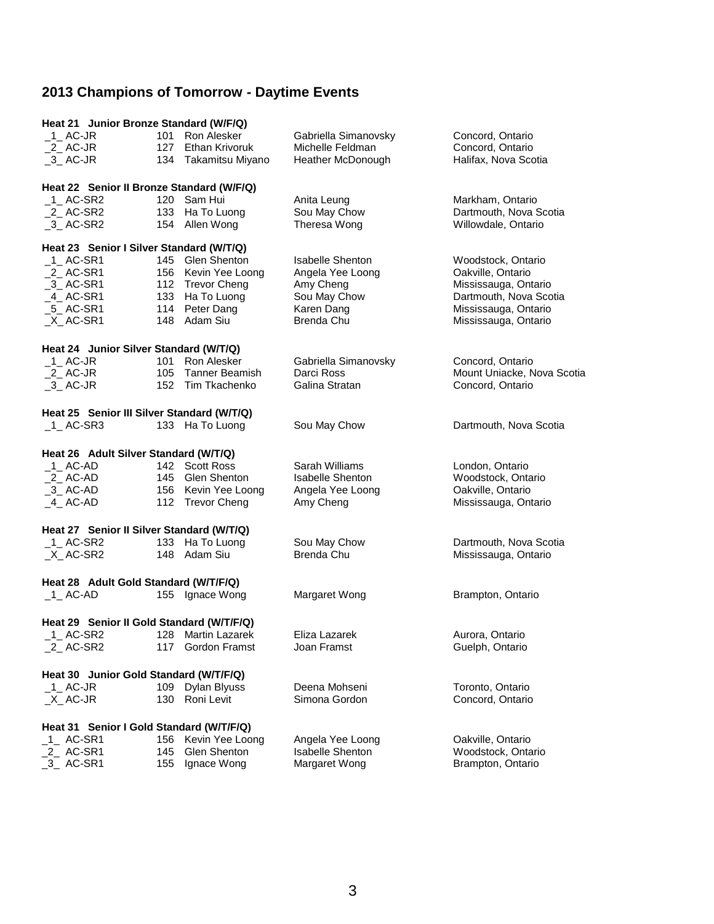| Heat 21 Junior Bronze Standard (W/F/Q)     |                                           |                                         |                                          |                                         |  |  |  |
|--------------------------------------------|-------------------------------------------|-----------------------------------------|------------------------------------------|-----------------------------------------|--|--|--|
| $1$ AC-JR                                  | 101                                       | Ron Alesker                             | Gabriella Simanovsky                     | Concord, Ontario                        |  |  |  |
| $2$ AC-JR                                  |                                           | 127 Ethan Krivoruk                      | Michelle Feldman                         | Concord, Ontario                        |  |  |  |
| 3 AC-JR                                    |                                           | 134 Takamitsu Miyano                    | Heather McDonough                        | Halifax, Nova Scotia                    |  |  |  |
|                                            |                                           |                                         |                                          |                                         |  |  |  |
|                                            | Heat 22 Senior II Bronze Standard (W/F/Q) |                                         |                                          |                                         |  |  |  |
| $1$ AC-SR2                                 |                                           | 120 Sam Hui                             | Anita Leung                              | Markham, Ontario                        |  |  |  |
| $2$ AC-SR2                                 |                                           | 133 Ha To Luong                         | Sou May Chow                             | Dartmouth, Nova Scotia                  |  |  |  |
| $-3$ AC-SR2                                |                                           | 154 Allen Wong                          | Theresa Wong                             | Willowdale, Ontario                     |  |  |  |
| Heat 23 Senior I Silver Standard (W/T/Q)   |                                           |                                         |                                          |                                         |  |  |  |
| $-1$ AC-SR1                                |                                           | 145 Glen Shenton                        | <b>Isabelle Shenton</b>                  | Woodstock, Ontario                      |  |  |  |
| $2$ AC-SR1                                 |                                           | 156 Kevin Yee Loong                     | Angela Yee Loong                         | Oakville, Ontario                       |  |  |  |
| $-3$ AC-SR1                                |                                           | 112 Trevor Cheng                        | Amy Cheng                                | Mississauga, Ontario                    |  |  |  |
| $-4$ AC-SR1                                |                                           | 133 Ha To Luong                         | Sou May Chow                             | Dartmouth, Nova Scotia                  |  |  |  |
| $-5$ AC-SR1                                |                                           | 114 Peter Dang                          | Karen Dang                               | Mississauga, Ontario                    |  |  |  |
|                                            |                                           | 148 Adam Siu                            | Brenda Chu                               |                                         |  |  |  |
| $X$ <sub>_</sub> AC-SR1                    |                                           |                                         |                                          | Mississauga, Ontario                    |  |  |  |
| Heat 24 Junior Silver Standard (W/T/Q)     |                                           |                                         |                                          |                                         |  |  |  |
| $1$ AC-JR                                  |                                           | 101 Ron Alesker                         | Gabriella Simanovsky                     | Concord, Ontario                        |  |  |  |
| $2$ AC-JR                                  | 105                                       | Tanner Beamish                          | Darci Ross                               | Mount Uniacke, Nova Scotia              |  |  |  |
| $-3$ AC-JR                                 |                                           | 152 Tim Tkachenko                       | Galina Stratan                           | Concord, Ontario                        |  |  |  |
|                                            |                                           |                                         |                                          |                                         |  |  |  |
| Heat 25 Senior III Silver Standard (W/T/Q) |                                           |                                         |                                          |                                         |  |  |  |
| 1 AC-SR3                                   |                                           | 133 Ha To Luong                         | Sou May Chow                             | Dartmouth, Nova Scotia                  |  |  |  |
|                                            |                                           |                                         |                                          |                                         |  |  |  |
| Heat 26 Adult Silver Standard (W/T/Q)      |                                           |                                         |                                          |                                         |  |  |  |
|                                            |                                           |                                         |                                          |                                         |  |  |  |
| $-1$ AC-AD                                 |                                           | 142 Scott Ross                          | Sarah Williams                           | London, Ontario                         |  |  |  |
| $2$ AC-AD                                  |                                           | 145 Glen Shenton                        | <b>Isabelle Shenton</b>                  | Woodstock, Ontario                      |  |  |  |
| $-3$ AC-AD                                 |                                           | 156 Kevin Yee Loong                     | Angela Yee Loong                         | Oakville, Ontario                       |  |  |  |
| $-4$ AC-AD                                 |                                           | 112 Trevor Cheng                        | Amy Cheng                                | Mississauga, Ontario                    |  |  |  |
|                                            |                                           |                                         |                                          |                                         |  |  |  |
| Heat 27 Senior II Silver Standard (W/T/Q)  |                                           |                                         |                                          |                                         |  |  |  |
| $_1$ AC-SR2                                |                                           | 133 Ha To Luong                         | Sou May Chow                             | Dartmouth, Nova Scotia                  |  |  |  |
| $X$ AC-SR2                                 |                                           | 148 Adam Siu                            | Brenda Chu                               | Mississauga, Ontario                    |  |  |  |
|                                            |                                           |                                         |                                          |                                         |  |  |  |
| Heat 28 Adult Gold Standard (W/T/F/Q)      |                                           |                                         |                                          |                                         |  |  |  |
| $-1$ AC-AD                                 |                                           | 155 Ignace Wong                         | Margaret Wong                            | Brampton, Ontario                       |  |  |  |
| Heat 29 Senior II Gold Standard (W/T/F/Q)  |                                           |                                         |                                          |                                         |  |  |  |
|                                            |                                           |                                         | Eliza Lazarek                            |                                         |  |  |  |
| 1_AC-SR2<br>$2$ AC-SR2                     |                                           | 128 Martin Lazarek<br>117 Gordon Framst | Joan Framst                              | Aurora, Ontario                         |  |  |  |
|                                            |                                           |                                         |                                          | Guelph, Ontario                         |  |  |  |
| Heat 30 Junior Gold Standard (W/T/F/Q)     |                                           |                                         |                                          |                                         |  |  |  |
| $_1$ AC-JR                                 | 109                                       | Dylan Blyuss                            | Deena Mohseni                            | Toronto, Ontario                        |  |  |  |
| $X$ AC-JR                                  | 130                                       | Roni Levit                              | Simona Gordon                            | Concord, Ontario                        |  |  |  |
|                                            |                                           |                                         |                                          |                                         |  |  |  |
| Heat 31 Senior I Gold Standard (W/T/F/Q)   |                                           |                                         |                                          |                                         |  |  |  |
| _1__ AC-SR1                                | 156                                       | Kevin Yee Loong                         | Angela Yee Loong                         | Oakville, Ontario                       |  |  |  |
| 2_AC-SR1<br>$-3$ AC-SR1                    | 145<br>155                                | Glen Shenton<br>Ignace Wong             | <b>Isabelle Shenton</b><br>Margaret Wong | Woodstock, Ontario<br>Brampton, Ontario |  |  |  |